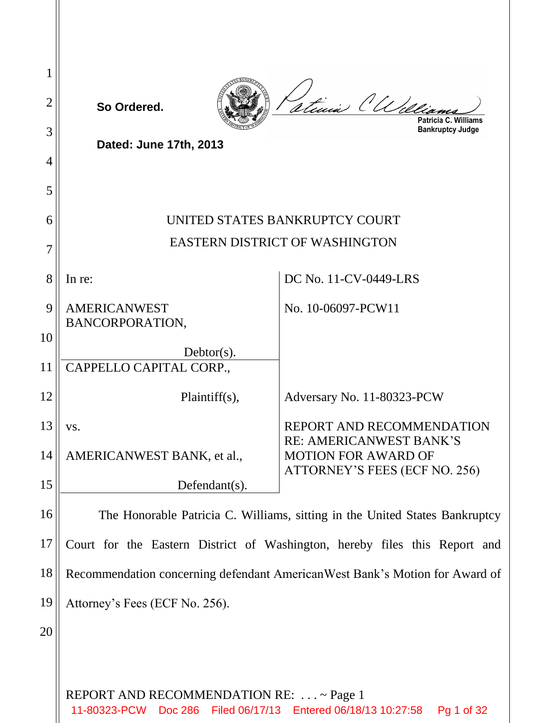| 2  | So Ordered.                                                                 | atinia (Une.<br>Patricia C.<br>Williams                     |  |
|----|-----------------------------------------------------------------------------|-------------------------------------------------------------|--|
| 3  | Dated: June 17th, 2013                                                      | <b>Bankruptcy Judge</b>                                     |  |
| 4  |                                                                             |                                                             |  |
| 5  |                                                                             |                                                             |  |
| 6  | UNITED STATES BANKRUPTCY COURT<br><b>EASTERN DISTRICT OF WASHINGTON</b>     |                                                             |  |
|    |                                                                             |                                                             |  |
| 8  | In re:                                                                      | DC No. 11-CV-0449-LRS                                       |  |
| 9  | <b>AMERICANWEST</b><br>BANCORPORATION,                                      | No. 10-06097-PCW11                                          |  |
| 10 | $Dektor(s)$ .                                                               |                                                             |  |
| 11 | CAPPELLO CAPITAL CORP.,                                                     |                                                             |  |
| 12 | $Plaintiff(s)$ ,                                                            | Adversary No. 11-80323-PCW                                  |  |
| 13 | VS.                                                                         | REPORT AND RECOMMENDATION<br><b>RE: AMERICANWEST BANK'S</b> |  |
| 14 | AMERICANWEST BANK, et al.,                                                  | <b>MOTION FOR AWARD OF</b><br>ATTORNEY'S FEES (ECF NO. 256) |  |
| 15 | Defendant(s).                                                               |                                                             |  |
| 16 | The Honorable Patricia C. Williams, sitting in the United States Bankruptcy |                                                             |  |
| 17 | Court for the Eastern District of Washington, hereby files this Report and  |                                                             |  |
| 18 | Recommendation concerning defendant AmericanWest Bank's Motion for Award of |                                                             |  |
| 19 | Attorney's Fees (ECF No. 256).                                              |                                                             |  |
| 20 |                                                                             |                                                             |  |
|    |                                                                             |                                                             |  |
|    | REPORT AND RECOMMENDATION RE:  ~ Page 1                                     |                                                             |  |

11-80323-PCW Doc 286 Filed 06/17/13 Entered 06/18/13 10:27:58 Pg 1 of 32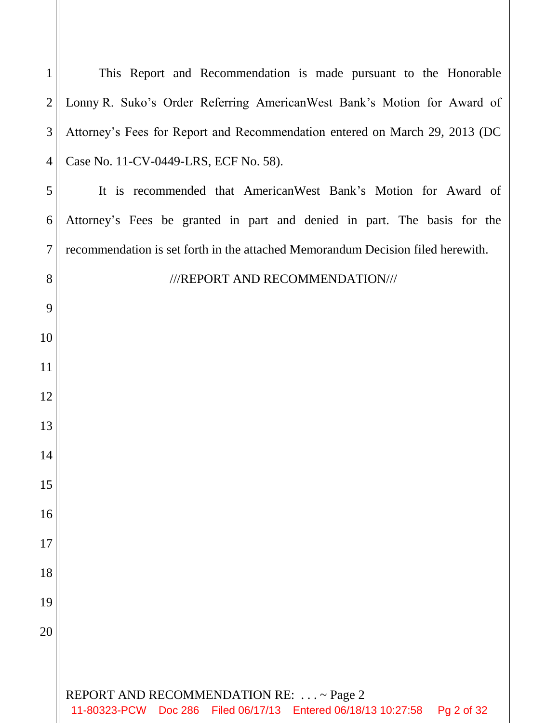REPORT AND RECOMMENDATION RE: . . . ~ Page 2 This Report and Recommendation is made pursuant to the Honorable Lonny R. Suko's Order Referring AmericanWest Bank's Motion for Award of Attorney's Fees for Report and Recommendation entered on March 29, 2013 (DC Case No. 11-CV-0449-LRS, ECF No. 58). It is recommended that AmericanWest Bank's Motion for Award of Attorney's Fees be granted in part and denied in part. The basis for the recommendation is set forth in the attached Memorandum Decision filed herewith. ///REPORT AND RECOMMENDATION/// 11-80323-PCW Doc 286 Filed 06/17/13 Entered 06/18/13 10:27:58 Pg 2 of 32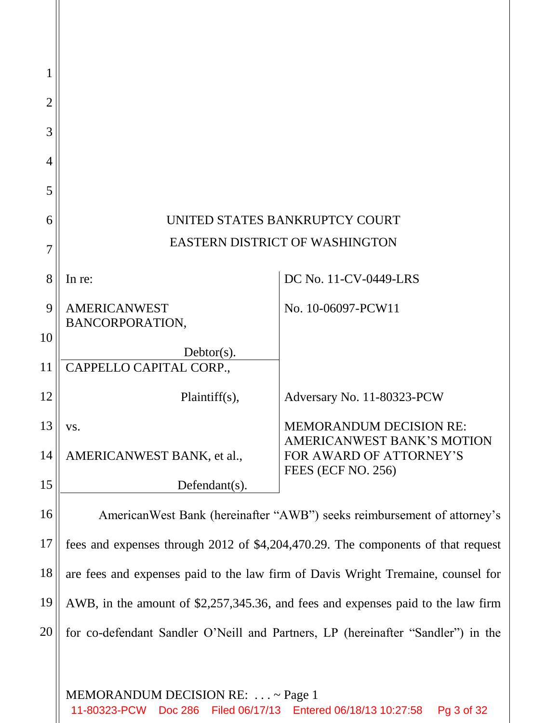| 1  |                                                                                                    |                                                                     |  |
|----|----------------------------------------------------------------------------------------------------|---------------------------------------------------------------------|--|
| 2  |                                                                                                    |                                                                     |  |
| 3  |                                                                                                    |                                                                     |  |
| 4  |                                                                                                    |                                                                     |  |
| 5  |                                                                                                    |                                                                     |  |
| 6  | UNITED STATES BANKRUPTCY COURT                                                                     |                                                                     |  |
| 7  | EASTERN DISTRICT OF WASHINGTON                                                                     |                                                                     |  |
| 8  | In re:                                                                                             | DC No. 11-CV-0449-LRS                                               |  |
| 9  | <b>AMERICANWEST</b>                                                                                | No. 10-06097-PCW11                                                  |  |
| 10 | BANCORPORATION,                                                                                    |                                                                     |  |
| 11 | $Dektor(s)$ .<br>CAPPELLO CAPITAL CORP.,                                                           |                                                                     |  |
| 12 | Plaintiff(s),                                                                                      | Adversary No. 11-80323-PCW                                          |  |
| 13 | VS.                                                                                                | <b>MEMORANDUM DECISION RE:</b><br><b>AMERICANWEST BANK'S MOTION</b> |  |
| 14 | AMERICANWEST BANK, et al.,                                                                         | FOR AWARD OF ATTORNEY'S<br>FEES (ECF NO. 256)                       |  |
| 15 | Defendant $(s)$ .                                                                                  |                                                                     |  |
| 16 | American West Bank (hereinafter "AWB") seeks reimbursement of attorney's                           |                                                                     |  |
| 17 | fees and expenses through 2012 of \$4,204,470.29. The components of that request                   |                                                                     |  |
| 18 | are fees and expenses paid to the law firm of Davis Wright Tremaine, counsel for                   |                                                                     |  |
| 19 | AWB, in the amount of \$2,257,345.36, and fees and expenses paid to the law firm                   |                                                                     |  |
| 20 | for co-defendant Sandler O'Neill and Partners, LP (hereinafter "Sandler") in the                   |                                                                     |  |
|    |                                                                                                    |                                                                     |  |
|    | MEMORANDUM DECISION RE:  ~ Page 1<br>11-80323-PCW Doc 286 Filed 06/17/13 Entered 06/18/13 10:27:58 | Pg 3 of 32                                                          |  |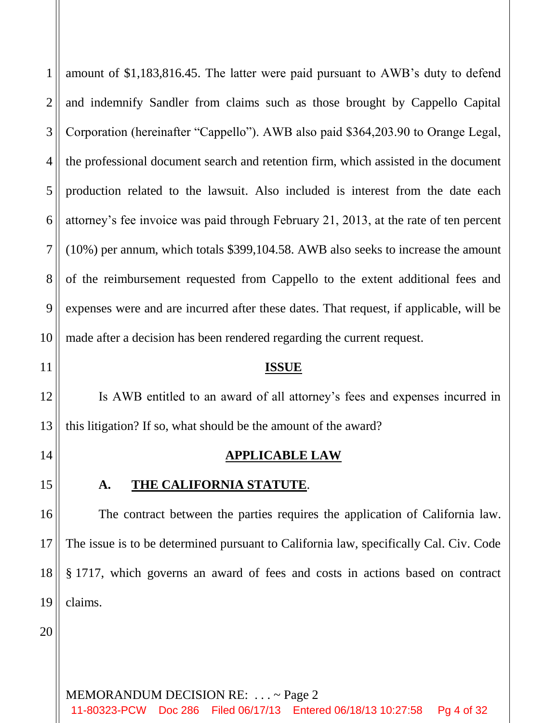1 2 3 4 5 6 7 8 9 10 amount of \$1,183,816.45. The latter were paid pursuant to AWB's duty to defend and indemnify Sandler from claims such as those brought by Cappello Capital Corporation (hereinafter "Cappello"). AWB also paid \$364,203.90 to Orange Legal, the professional document search and retention firm, which assisted in the document production related to the lawsuit. Also included is interest from the date each attorney's fee invoice was paid through February 21, 2013, at the rate of ten percent (10%) per annum, which totals \$399,104.58. AWB also seeks to increase the amount of the reimbursement requested from Cappello to the extent additional fees and expenses were and are incurred after these dates. That request, if applicable, will be made after a decision has been rendered regarding the current request.

11

12

13

## **ISSUE**

Is AWB entitled to an award of all attorney's fees and expenses incurred in this litigation? If so, what should be the amount of the award?

14

15

# **APPLICABLE LAW**

**A. THE CALIFORNIA STATUTE**.

16 17 18 19 The contract between the parties requires the application of California law. The issue is to be determined pursuant to California law, specifically Cal. Civ. Code § 1717, which governs an award of fees and costs in actions based on contract claims.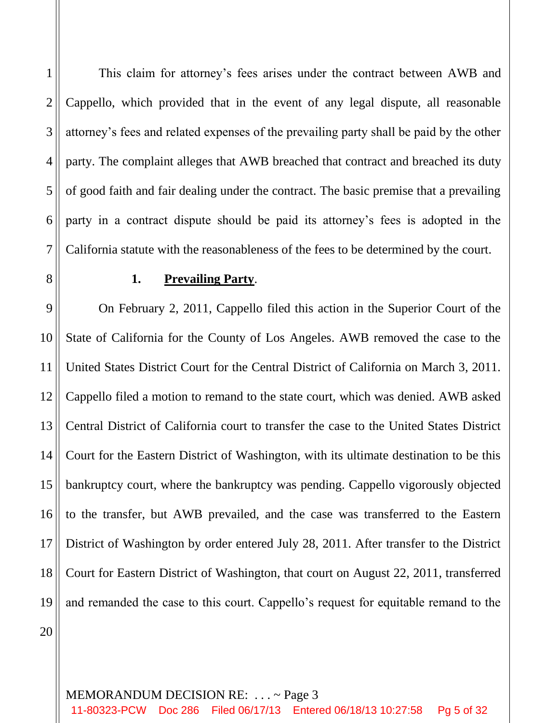6 This claim for attorney's fees arises under the contract between AWB and Cappello, which provided that in the event of any legal dispute, all reasonable attorney's fees and related expenses of the prevailing party shall be paid by the other party. The complaint alleges that AWB breached that contract and breached its duty of good faith and fair dealing under the contract. The basic premise that a prevailing party in a contract dispute should be paid its attorney's fees is adopted in the California statute with the reasonableness of the fees to be determined by the court.

8

7

1

2

3

4

5

## **1. Prevailing Party**.

9 10 11 12 13 14 15 16 17 18 19 On February 2, 2011, Cappello filed this action in the Superior Court of the State of California for the County of Los Angeles. AWB removed the case to the United States District Court for the Central District of California on March 3, 2011. Cappello filed a motion to remand to the state court, which was denied. AWB asked Central District of California court to transfer the case to the United States District Court for the Eastern District of Washington, with its ultimate destination to be this bankruptcy court, where the bankruptcy was pending. Cappello vigorously objected to the transfer, but AWB prevailed, and the case was transferred to the Eastern District of Washington by order entered July 28, 2011. After transfer to the District Court for Eastern District of Washington, that court on August 22, 2011, transferred and remanded the case to this court. Cappello's request for equitable remand to the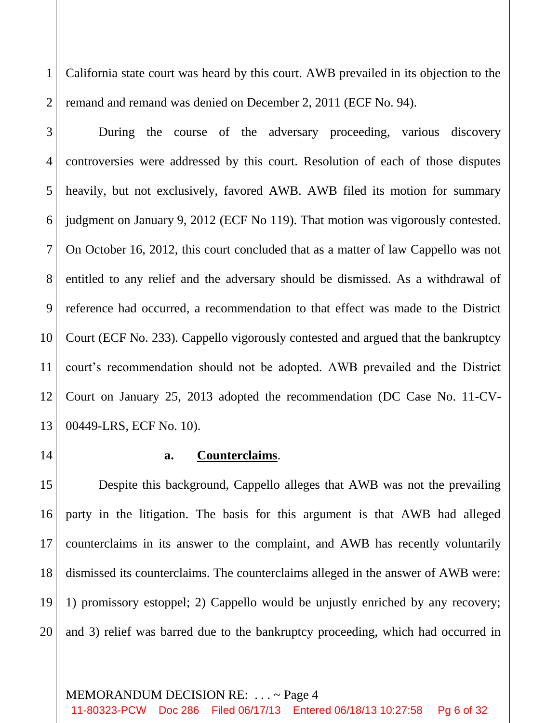1 2 California state court was heard by this court. AWB prevailed in its objection to the remand and remand was denied on December 2, 2011 (ECF No. 94).

3 4 5 6 7 8 9 10 11 12 13 During the course of the adversary proceeding, various discovery controversies were addressed by this court. Resolution of each of those disputes heavily, but not exclusively, favored AWB. AWB filed its motion for summary judgment on January 9, 2012 (ECF No 119). That motion was vigorously contested. On October 16, 2012, this court concluded that as a matter of law Cappello was not entitled to any relief and the adversary should be dismissed. As a withdrawal of reference had occurred, a recommendation to that effect was made to the District Court (ECF No. 233). Cappello vigorously contested and argued that the bankruptcy court's recommendation should not be adopted. AWB prevailed and the District Court on January 25, 2013 adopted the recommendation (DC Case No. 11-CV-00449-LRS, ECF No. 10).

14

## **a. Counterclaims**.

15 16 17 18 19 20 Despite this background, Cappello alleges that AWB was not the prevailing party in the litigation. The basis for this argument is that AWB had alleged counterclaims in its answer to the complaint, and AWB has recently voluntarily dismissed its counterclaims. The counterclaims alleged in the answer of AWB were: 1) promissory estoppel; 2) Cappello would be unjustly enriched by any recovery; and 3) relief was barred due to the bankruptcy proceeding, which had occurred in

#### MEMORANDUM DECISION RE: . . . ~ Page 4

11-80323-PCW Doc 286 Filed 06/17/13 Entered 06/18/13 10:27:58 Pg 6 of 32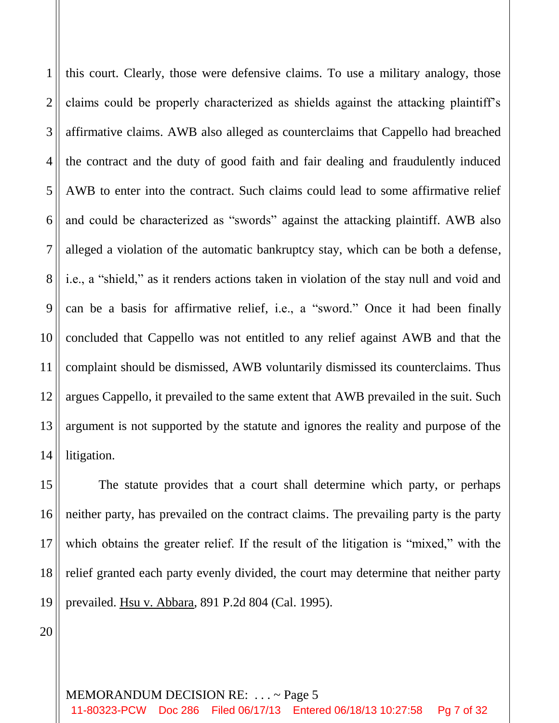1 2 3 4 5 6 7 8 9 10 11 12 13 14 this court. Clearly, those were defensive claims. To use a military analogy, those claims could be properly characterized as shields against the attacking plaintiff's affirmative claims. AWB also alleged as counterclaims that Cappello had breached the contract and the duty of good faith and fair dealing and fraudulently induced AWB to enter into the contract. Such claims could lead to some affirmative relief and could be characterized as "swords" against the attacking plaintiff. AWB also alleged a violation of the automatic bankruptcy stay, which can be both a defense, i.e., a "shield," as it renders actions taken in violation of the stay null and void and can be a basis for affirmative relief, i.e., a "sword." Once it had been finally concluded that Cappello was not entitled to any relief against AWB and that the complaint should be dismissed, AWB voluntarily dismissed its counterclaims. Thus argues Cappello, it prevailed to the same extent that AWB prevailed in the suit. Such argument is not supported by the statute and ignores the reality and purpose of the litigation.

15 16 17 18 19 The statute provides that a court shall determine which party, or perhaps neither party, has prevailed on the contract claims. The prevailing party is the party which obtains the greater relief. If the result of the litigation is "mixed," with the relief granted each party evenly divided, the court may determine that neither party prevailed. Hsu v. Abbara, 891 P.2d 804 (Cal. 1995).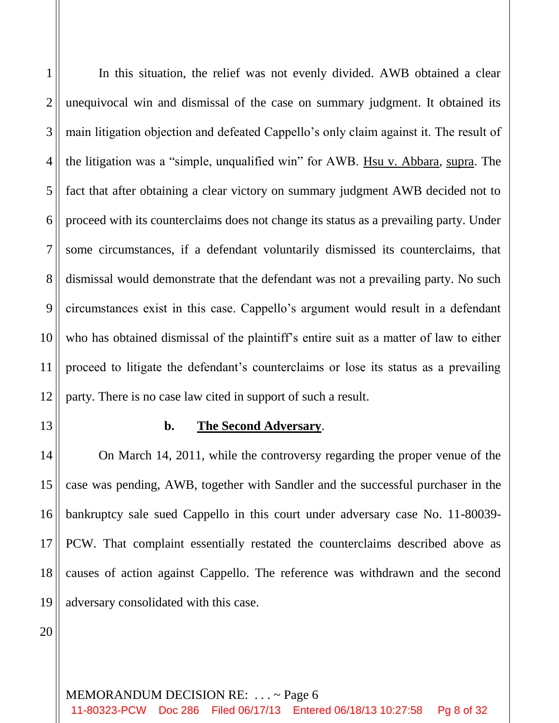1 2 3 4 5 6 7 8 9 10 11 12 In this situation, the relief was not evenly divided. AWB obtained a clear unequivocal win and dismissal of the case on summary judgment. It obtained its main litigation objection and defeated Cappello's only claim against it. The result of the litigation was a "simple, unqualified win" for AWB. Hsu v. Abbara, supra. The fact that after obtaining a clear victory on summary judgment AWB decided not to proceed with its counterclaims does not change its status as a prevailing party. Under some circumstances, if a defendant voluntarily dismissed its counterclaims, that dismissal would demonstrate that the defendant was not a prevailing party. No such circumstances exist in this case. Cappello's argument would result in a defendant who has obtained dismissal of the plaintiff's entire suit as a matter of law to either proceed to litigate the defendant's counterclaims or lose its status as a prevailing party. There is no case law cited in support of such a result.

13

## **b. The Second Adversary**.

14 15 16 17 18 19 On March 14, 2011, while the controversy regarding the proper venue of the case was pending, AWB, together with Sandler and the successful purchaser in the bankruptcy sale sued Cappello in this court under adversary case No. 11-80039- PCW. That complaint essentially restated the counterclaims described above as causes of action against Cappello. The reference was withdrawn and the second adversary consolidated with this case.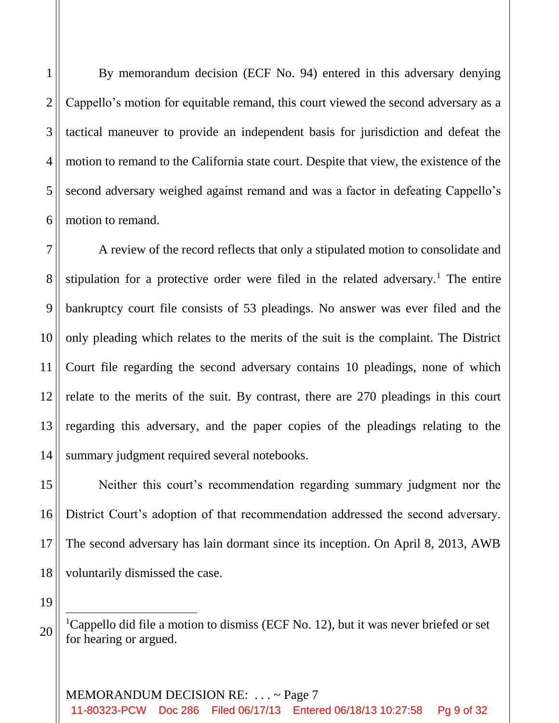1

2

3

4

5

6

By memorandum decision (ECF No. 94) entered in this adversary denying Cappello's motion for equitable remand, this court viewed the second adversary as a tactical maneuver to provide an independent basis for jurisdiction and defeat the motion to remand to the California state court. Despite that view, the existence of the second adversary weighed against remand and was a factor in defeating Cappello's motion to remand.

7 8 9 10 11 12 13 14 A review of the record reflects that only a stipulated motion to consolidate and stipulation for a protective order were filed in the related adversary.<sup>1</sup> The entire bankruptcy court file consists of 53 pleadings. No answer was ever filed and the only pleading which relates to the merits of the suit is the complaint. The District Court file regarding the second adversary contains 10 pleadings, none of which relate to the merits of the suit. By contrast, there are 270 pleadings in this court regarding this adversary, and the paper copies of the pleadings relating to the summary judgment required several notebooks.

15 16 17 18 Neither this court's recommendation regarding summary judgment nor the District Court's adoption of that recommendation addressed the second adversary. The second adversary has lain dormant since its inception. On April 8, 2013, AWB voluntarily dismissed the case.

19

ı

20

<sup>1</sup>Cappello did file a motion to dismiss (ECF No. 12), but it was never briefed or set for hearing or argued.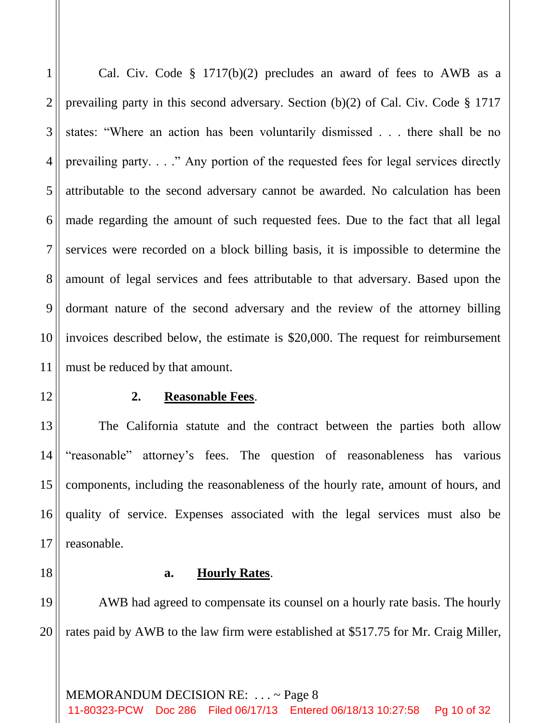1 2 3 4 5 6 7 8 9 10 11 Cal. Civ. Code § 1717(b)(2) precludes an award of fees to AWB as a prevailing party in this second adversary. Section (b)(2) of Cal. Civ. Code § 1717 states: "Where an action has been voluntarily dismissed . . . there shall be no prevailing party. . . ." Any portion of the requested fees for legal services directly attributable to the second adversary cannot be awarded. No calculation has been made regarding the amount of such requested fees. Due to the fact that all legal services were recorded on a block billing basis, it is impossible to determine the amount of legal services and fees attributable to that adversary. Based upon the dormant nature of the second adversary and the review of the attorney billing invoices described below, the estimate is \$20,000. The request for reimbursement must be reduced by that amount.

## **2. Reasonable Fees**.

The California statute and the contract between the parties both allow "reasonable" attorney's fees. The question of reasonableness has various components, including the reasonableness of the hourly rate, amount of hours, and quality of service. Expenses associated with the legal services must also be reasonable.

18

12

13

14

15

16

17

## **a. Hourly Rates**.

19 20 AWB had agreed to compensate its counsel on a hourly rate basis. The hourly rates paid by AWB to the law firm were established at \$517.75 for Mr. Craig Miller,

MEMORANDUM DECISION RE: . . . ~ Page 8 11-80323-PCW Doc 286 Filed 06/17/13 Entered 06/18/13 10:27:58 Pg 10 of 32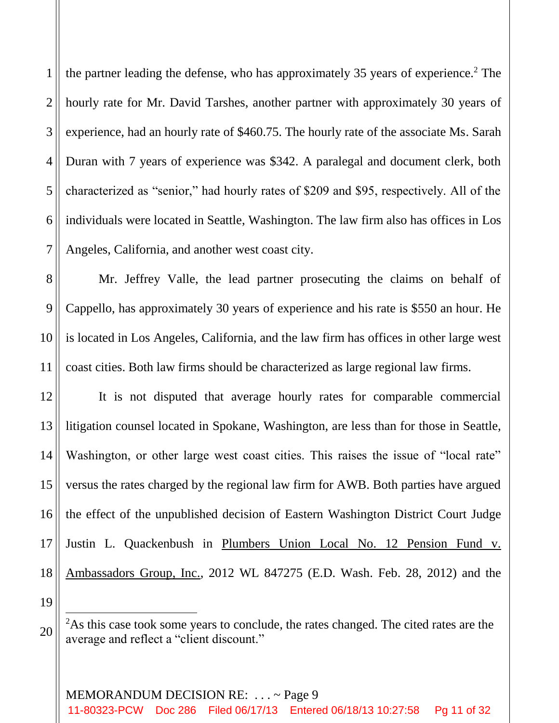1 2 3 4 5 6 7 the partner leading the defense, who has approximately 35 years of experience.<sup>2</sup> The hourly rate for Mr. David Tarshes, another partner with approximately 30 years of experience, had an hourly rate of \$460.75. The hourly rate of the associate Ms. Sarah Duran with 7 years of experience was \$342. A paralegal and document clerk, both characterized as "senior," had hourly rates of \$209 and \$95, respectively. All of the individuals were located in Seattle, Washington. The law firm also has offices in Los Angeles, California, and another west coast city.

8 9 10 11 Mr. Jeffrey Valle, the lead partner prosecuting the claims on behalf of Cappello, has approximately 30 years of experience and his rate is \$550 an hour. He is located in Los Angeles, California, and the law firm has offices in other large west coast cities. Both law firms should be characterized as large regional law firms.

12 13 14 15 16 17 18 It is not disputed that average hourly rates for comparable commercial litigation counsel located in Spokane, Washington, are less than for those in Seattle, Washington, or other large west coast cities. This raises the issue of "local rate" versus the rates charged by the regional law firm for AWB. Both parties have argued the effect of the unpublished decision of Eastern Washington District Court Judge Justin L. Quackenbush in Plumbers Union Local No. 12 Pension Fund v. Ambassadors Group, Inc., 2012 WL 847275 (E.D. Wash. Feb. 28, 2012) and the

19

ı

<sup>&</sup>lt;sup>2</sup>As this case took some years to conclude, the rates changed. The cited rates are the average and reflect a "client discount."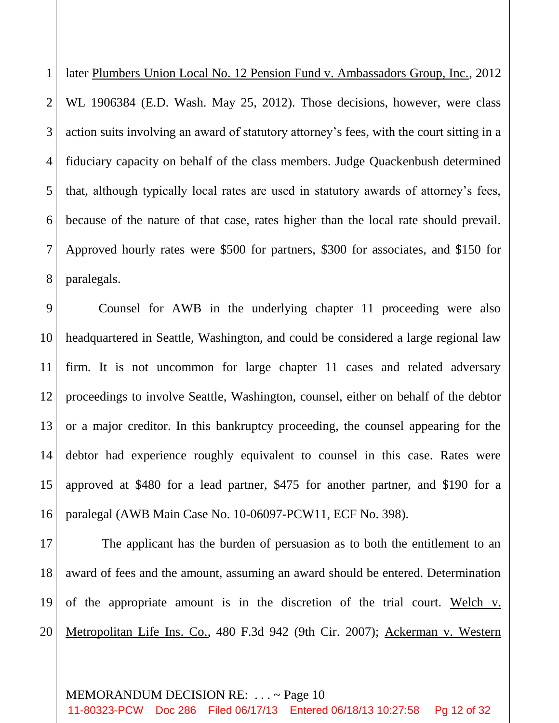1 2 3 4 5 6 7 8 later Plumbers Union Local No. 12 Pension Fund v. Ambassadors Group, Inc., 2012 WL 1906384 (E.D. Wash. May 25, 2012). Those decisions, however, were class action suits involving an award of statutory attorney's fees, with the court sitting in a fiduciary capacity on behalf of the class members. Judge Quackenbush determined that, although typically local rates are used in statutory awards of attorney's fees, because of the nature of that case, rates higher than the local rate should prevail. Approved hourly rates were \$500 for partners, \$300 for associates, and \$150 for paralegals.

9 10 11 12 13 14 15 16 Counsel for AWB in the underlying chapter 11 proceeding were also headquartered in Seattle, Washington, and could be considered a large regional law firm. It is not uncommon for large chapter 11 cases and related adversary proceedings to involve Seattle, Washington, counsel, either on behalf of the debtor or a major creditor. In this bankruptcy proceeding, the counsel appearing for the debtor had experience roughly equivalent to counsel in this case. Rates were approved at \$480 for a lead partner, \$475 for another partner, and \$190 for a paralegal (AWB Main Case No. 10-06097-PCW11, ECF No. 398).

17 18 19 20 The applicant has the burden of persuasion as to both the entitlement to an award of fees and the amount, assuming an award should be entered. Determination of the appropriate amount is in the discretion of the trial court. Welch v. Metropolitan Life Ins. Co., 480 F.3d 942 (9th Cir. 2007); Ackerman v. Western

#### MEMORANDUM DECISION RE: . . . ~ Page 10

11-80323-PCW Doc 286 Filed 06/17/13 Entered 06/18/13 10:27:58 Pg 12 of 32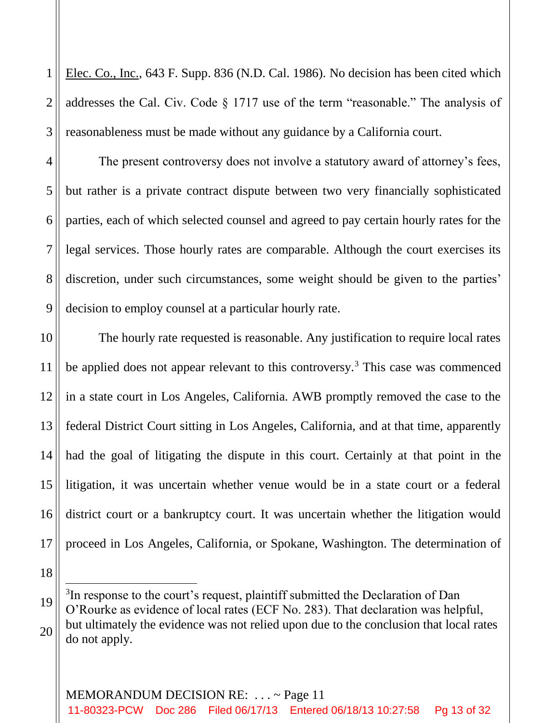1 2 3 Elec. Co., Inc., 643 F. Supp. 836 (N.D. Cal. 1986). No decision has been cited which addresses the Cal. Civ. Code § 1717 use of the term "reasonable." The analysis of reasonableness must be made without any guidance by a California court.

4

5

6

7

8

9

18

ı

19

The present controversy does not involve a statutory award of attorney's fees, but rather is a private contract dispute between two very financially sophisticated parties, each of which selected counsel and agreed to pay certain hourly rates for the legal services. Those hourly rates are comparable. Although the court exercises its discretion, under such circumstances, some weight should be given to the parties' decision to employ counsel at a particular hourly rate.

10 11 12 13 14 15 16 17 The hourly rate requested is reasonable. Any justification to require local rates be applied does not appear relevant to this controversy.<sup>3</sup> This case was commenced in a state court in Los Angeles, California. AWB promptly removed the case to the federal District Court sitting in Los Angeles, California, and at that time, apparently had the goal of litigating the dispute in this court. Certainly at that point in the litigation, it was uncertain whether venue would be in a state court or a federal district court or a bankruptcy court. It was uncertain whether the litigation would proceed in Los Angeles, California, or Spokane, Washington. The determination of

<sup>20</sup> <sup>3</sup>In response to the court's request, plaintiff submitted the Declaration of Dan O'Rourke as evidence of local rates (ECF No. 283). That declaration was helpful, but ultimately the evidence was not relied upon due to the conclusion that local rates do not apply.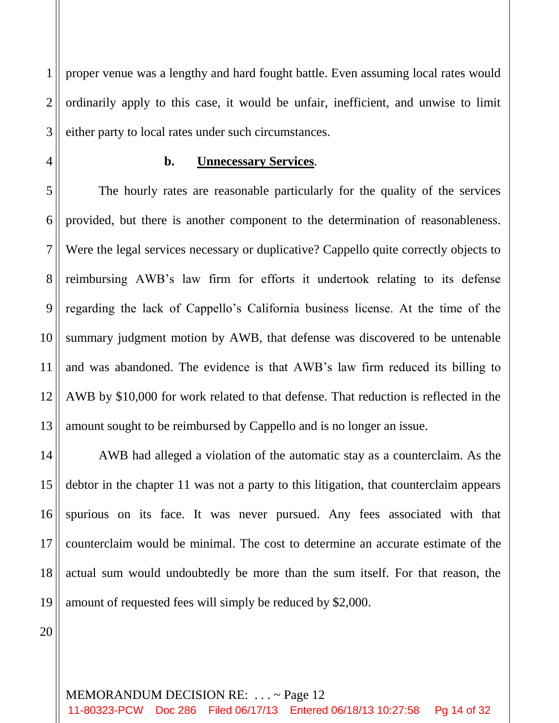1 2 3 proper venue was a lengthy and hard fought battle. Even assuming local rates would ordinarily apply to this case, it would be unfair, inefficient, and unwise to limit either party to local rates under such circumstances.

4

# **b. Unnecessary Services**.

5 6 7 8 9 10 11 12 13 The hourly rates are reasonable particularly for the quality of the services provided, but there is another component to the determination of reasonableness. Were the legal services necessary or duplicative? Cappello quite correctly objects to reimbursing AWB's law firm for efforts it undertook relating to its defense regarding the lack of Cappello's California business license. At the time of the summary judgment motion by AWB, that defense was discovered to be untenable and was abandoned. The evidence is that AWB's law firm reduced its billing to AWB by \$10,000 for work related to that defense. That reduction is reflected in the amount sought to be reimbursed by Cappello and is no longer an issue.

14 15 16 17 18 19 AWB had alleged a violation of the automatic stay as a counterclaim. As the debtor in the chapter 11 was not a party to this litigation, that counterclaim appears spurious on its face. It was never pursued. Any fees associated with that counterclaim would be minimal. The cost to determine an accurate estimate of the actual sum would undoubtedly be more than the sum itself. For that reason, the amount of requested fees will simply be reduced by \$2,000.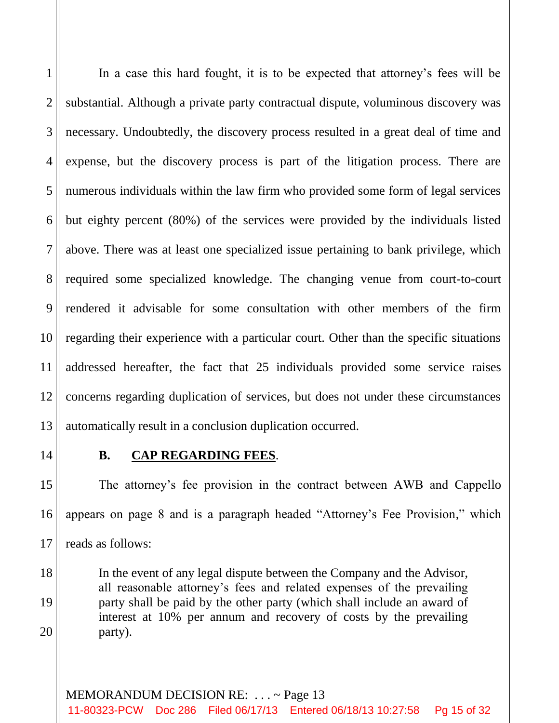1 2 3 4 5 6 7 8 9 10 11 12 13 In a case this hard fought, it is to be expected that attorney's fees will be substantial. Although a private party contractual dispute, voluminous discovery was necessary. Undoubtedly, the discovery process resulted in a great deal of time and expense, but the discovery process is part of the litigation process. There are numerous individuals within the law firm who provided some form of legal services but eighty percent (80%) of the services were provided by the individuals listed above. There was at least one specialized issue pertaining to bank privilege, which required some specialized knowledge. The changing venue from court-to-court rendered it advisable for some consultation with other members of the firm regarding their experience with a particular court. Other than the specific situations addressed hereafter, the fact that 25 individuals provided some service raises concerns regarding duplication of services, but does not under these circumstances automatically result in a conclusion duplication occurred.

14

18

19

20

# **B. CAP REGARDING FEES**.

15 16 17 The attorney's fee provision in the contract between AWB and Cappello appears on page 8 and is a paragraph headed "Attorney's Fee Provision," which reads as follows:

In the event of any legal dispute between the Company and the Advisor, all reasonable attorney's fees and related expenses of the prevailing party shall be paid by the other party (which shall include an award of interest at 10% per annum and recovery of costs by the prevailing party).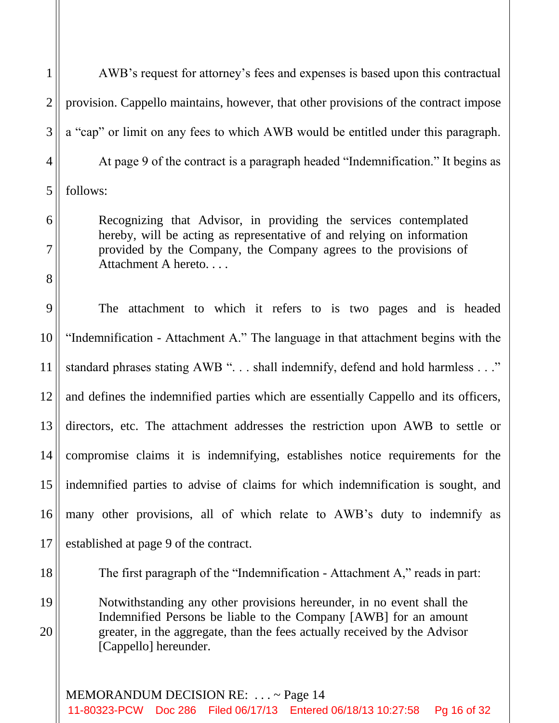AWB's request for attorney's fees and expenses is based upon this contractual provision. Cappello maintains, however, that other provisions of the contract impose a "cap" or limit on any fees to which AWB would be entitled under this paragraph. At page 9 of the contract is a paragraph headed "Indemnification." It begins as follows:

Recognizing that Advisor, in providing the services contemplated hereby, will be acting as representative of and relying on information provided by the Company, the Company agrees to the provisions of Attachment A hereto. . . .

17 The attachment to which it refers to is two pages and is headed "Indemnification - Attachment A." The language in that attachment begins with the standard phrases stating AWB ". . . shall indemnify, defend and hold harmless . . ." and defines the indemnified parties which are essentially Cappello and its officers, directors, etc. The attachment addresses the restriction upon AWB to settle or compromise claims it is indemnifying, establishes notice requirements for the indemnified parties to advise of claims for which indemnification is sought, and many other provisions, all of which relate to AWB's duty to indemnify as established at page 9 of the contract.

18

19

20

The first paragraph of the "Indemnification - Attachment A," reads in part:

Notwithstanding any other provisions hereunder, in no event shall the Indemnified Persons be liable to the Company [AWB] for an amount greater, in the aggregate, than the fees actually received by the Advisor [Cappello] hereunder.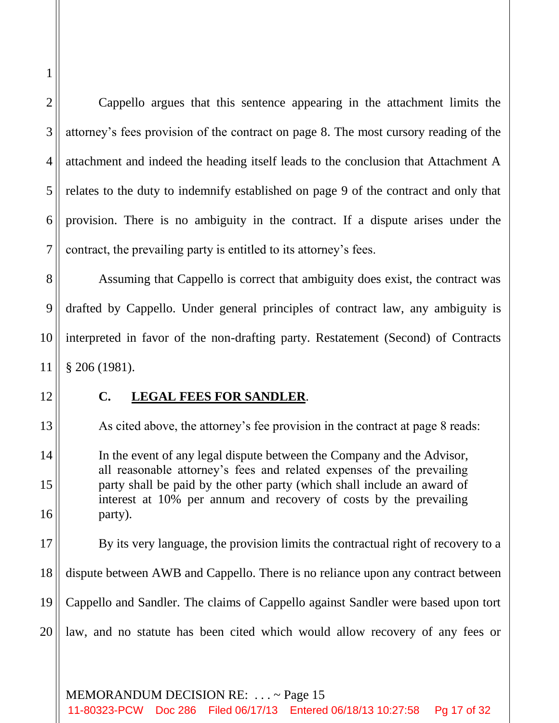Cappello argues that this sentence appearing in the attachment limits the attorney's fees provision of the contract on page 8. The most cursory reading of the attachment and indeed the heading itself leads to the conclusion that Attachment A relates to the duty to indemnify established on page 9 of the contract and only that provision. There is no ambiguity in the contract. If a dispute arises under the contract, the prevailing party is entitled to its attorney's fees.

Assuming that Cappello is correct that ambiguity does exist, the contract was drafted by Cappello. Under general principles of contract law, any ambiguity is interpreted in favor of the non-drafting party. Restatement (Second) of Contracts § 206 (1981).

## **C. LEGAL FEES FOR SANDLER**.

As cited above, the attorney's fee provision in the contract at page 8 reads:

In the event of any legal dispute between the Company and the Advisor, all reasonable attorney's fees and related expenses of the prevailing party shall be paid by the other party (which shall include an award of interest at 10% per annum and recovery of costs by the prevailing party).

By its very language, the provision limits the contractual right of recovery to a dispute between AWB and Cappello. There is no reliance upon any contract between Cappello and Sandler. The claims of Cappello against Sandler were based upon tort

law, and no statute has been cited which would allow recovery of any fees or

MEMORANDUM DECISION RE: . . . ~ Page 15

11-80323-PCW Doc 286 Filed 06/17/13 Entered 06/18/13 10:27:58 Pg 17 of 32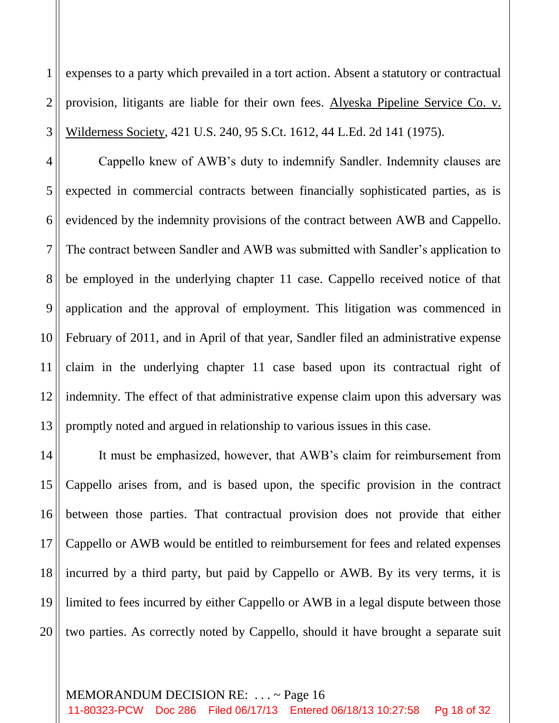1 2 3 expenses to a party which prevailed in a tort action. Absent a statutory or contractual provision, litigants are liable for their own fees. Alyeska Pipeline Service Co. v. Wilderness Society, 421 U.S. 240, 95 S.Ct. 1612, 44 L.Ed. 2d 141 (1975).

4 5 6 7 8 9 10 11 12 13 Cappello knew of AWB's duty to indemnify Sandler. Indemnity clauses are expected in commercial contracts between financially sophisticated parties, as is evidenced by the indemnity provisions of the contract between AWB and Cappello. The contract between Sandler and AWB was submitted with Sandler's application to be employed in the underlying chapter 11 case. Cappello received notice of that application and the approval of employment. This litigation was commenced in February of 2011, and in April of that year, Sandler filed an administrative expense claim in the underlying chapter 11 case based upon its contractual right of indemnity. The effect of that administrative expense claim upon this adversary was promptly noted and argued in relationship to various issues in this case.

14 15 16 17 18 19 20 It must be emphasized, however, that AWB's claim for reimbursement from Cappello arises from, and is based upon, the specific provision in the contract between those parties. That contractual provision does not provide that either Cappello or AWB would be entitled to reimbursement for fees and related expenses incurred by a third party, but paid by Cappello or AWB. By its very terms, it is limited to fees incurred by either Cappello or AWB in a legal dispute between those two parties. As correctly noted by Cappello, should it have brought a separate suit

#### MEMORANDUM DECISION RE: . . . ~ Page 16

11-80323-PCW Doc 286 Filed 06/17/13 Entered 06/18/13 10:27:58 Pg 18 of 32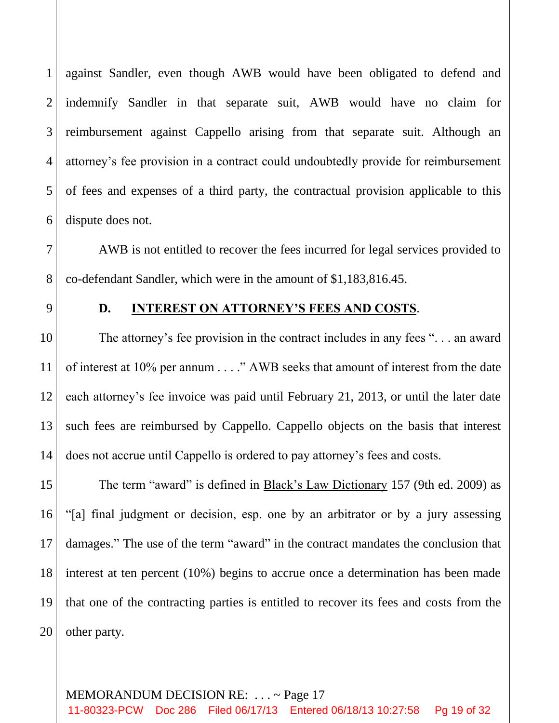1 2 3 4 5 6 against Sandler, even though AWB would have been obligated to defend and indemnify Sandler in that separate suit, AWB would have no claim for reimbursement against Cappello arising from that separate suit. Although an attorney's fee provision in a contract could undoubtedly provide for reimbursement of fees and expenses of a third party, the contractual provision applicable to this dispute does not.

AWB is not entitled to recover the fees incurred for legal services provided to co-defendant Sandler, which were in the amount of \$1,183,816.45.

7

8

9

10

11

12

13

14

## **D. INTEREST ON ATTORNEY'S FEES AND COSTS**.

The attorney's fee provision in the contract includes in any fees ". . . an award of interest at 10% per annum . . . ." AWB seeks that amount of interest from the date each attorney's fee invoice was paid until February 21, 2013, or until the later date such fees are reimbursed by Cappello. Cappello objects on the basis that interest does not accrue until Cappello is ordered to pay attorney's fees and costs.

15 16 17 18 19 20 The term "award" is defined in Black's Law Dictionary 157 (9th ed. 2009) as "[a] final judgment or decision, esp. one by an arbitrator or by a jury assessing damages." The use of the term "award" in the contract mandates the conclusion that interest at ten percent (10%) begins to accrue once a determination has been made that one of the contracting parties is entitled to recover its fees and costs from the other party.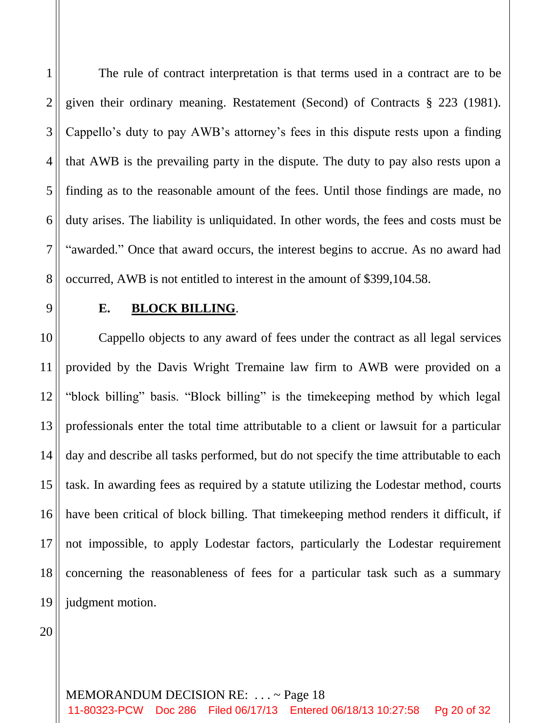1 2 3 4 5 6 7 8 The rule of contract interpretation is that terms used in a contract are to be given their ordinary meaning. Restatement (Second) of Contracts § 223 (1981). Cappello's duty to pay AWB's attorney's fees in this dispute rests upon a finding that AWB is the prevailing party in the dispute. The duty to pay also rests upon a finding as to the reasonable amount of the fees. Until those findings are made, no duty arises. The liability is unliquidated. In other words, the fees and costs must be "awarded." Once that award occurs, the interest begins to accrue. As no award had occurred, AWB is not entitled to interest in the amount of \$399,104.58.

9 10

# **E. BLOCK BILLING**.

11 12 13 14 15 16 17 18 19 Cappello objects to any award of fees under the contract as all legal services provided by the Davis Wright Tremaine law firm to AWB were provided on a "block billing" basis. "Block billing" is the timekeeping method by which legal professionals enter the total time attributable to a client or lawsuit for a particular day and describe all tasks performed, but do not specify the time attributable to each task. In awarding fees as required by a statute utilizing the Lodestar method, courts have been critical of block billing. That timekeeping method renders it difficult, if not impossible, to apply Lodestar factors, particularly the Lodestar requirement concerning the reasonableness of fees for a particular task such as a summary judgment motion.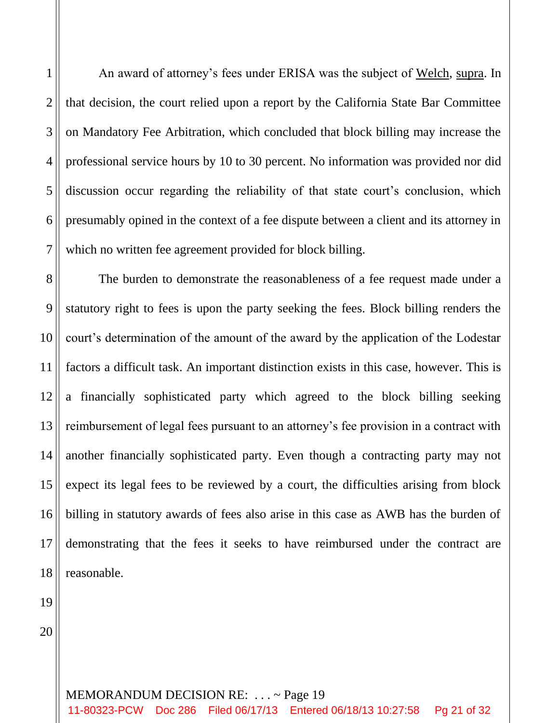An award of attorney's fees under ERISA was the subject of Welch, supra. In that decision, the court relied upon a report by the California State Bar Committee on Mandatory Fee Arbitration, which concluded that block billing may increase the professional service hours by 10 to 30 percent. No information was provided nor did discussion occur regarding the reliability of that state court's conclusion, which presumably opined in the context of a fee dispute between a client and its attorney in which no written fee agreement provided for block billing.

8 9 10 11 12 13 14 15 16 17 18 The burden to demonstrate the reasonableness of a fee request made under a statutory right to fees is upon the party seeking the fees. Block billing renders the court's determination of the amount of the award by the application of the Lodestar factors a difficult task. An important distinction exists in this case, however. This is a financially sophisticated party which agreed to the block billing seeking reimbursement of legal fees pursuant to an attorney's fee provision in a contract with another financially sophisticated party. Even though a contracting party may not expect its legal fees to be reviewed by a court, the difficulties arising from block billing in statutory awards of fees also arise in this case as AWB has the burden of demonstrating that the fees it seeks to have reimbursed under the contract are reasonable.

20

19

1

2

3

4

5

6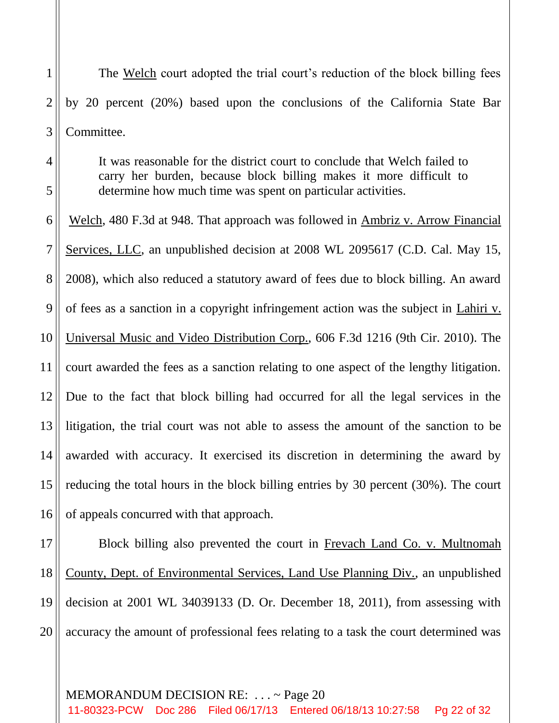The Welch court adopted the trial court's reduction of the block billing fees by 20 percent (20%) based upon the conclusions of the California State Bar Committee.

1

2

3

4

5

It was reasonable for the district court to conclude that Welch failed to carry her burden, because block billing makes it more difficult to determine how much time was spent on particular activities.

6 7 8 9 10 11 12 13 14 15 16 Welch, 480 F.3d at 948. That approach was followed in Ambriz v. Arrow Financial Services, LLC, an unpublished decision at 2008 WL 2095617 (C.D. Cal. May 15, 2008), which also reduced a statutory award of fees due to block billing. An award of fees as a sanction in a copyright infringement action was the subject in Lahiri v. Universal Music and Video Distribution Corp., 606 F.3d 1216 (9th Cir. 2010). The court awarded the fees as a sanction relating to one aspect of the lengthy litigation. Due to the fact that block billing had occurred for all the legal services in the litigation, the trial court was not able to assess the amount of the sanction to be awarded with accuracy. It exercised its discretion in determining the award by reducing the total hours in the block billing entries by 30 percent (30%). The court of appeals concurred with that approach.

17 18 19 20 Block billing also prevented the court in Frevach Land Co. v. Multnomah County, Dept. of Environmental Services, Land Use Planning Div., an unpublished decision at 2001 WL 34039133 (D. Or. December 18, 2011), from assessing with accuracy the amount of professional fees relating to a task the court determined was

## MEMORANDUM DECISION RE: . . . ~ Page 20

11-80323-PCW Doc 286 Filed 06/17/13 Entered 06/18/13 10:27:58 Pg 22 of 32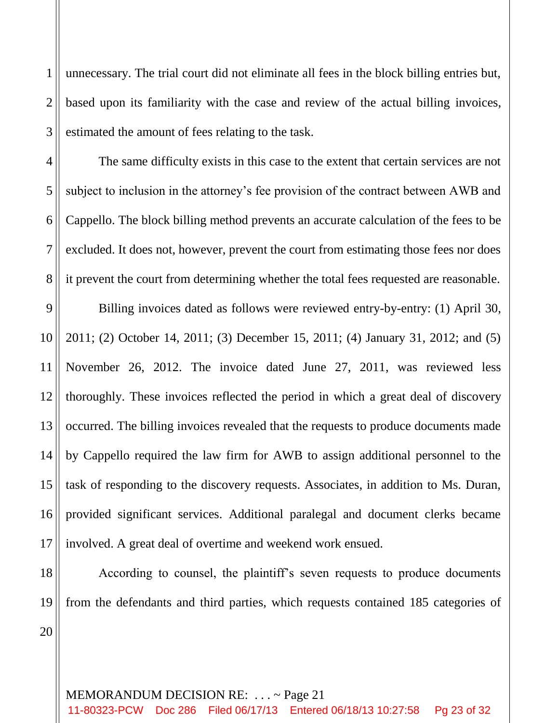1 2 3 unnecessary. The trial court did not eliminate all fees in the block billing entries but, based upon its familiarity with the case and review of the actual billing invoices, estimated the amount of fees relating to the task.

The same difficulty exists in this case to the extent that certain services are not subject to inclusion in the attorney's fee provision of the contract between AWB and Cappello. The block billing method prevents an accurate calculation of the fees to be excluded. It does not, however, prevent the court from estimating those fees nor does it prevent the court from determining whether the total fees requested are reasonable.

9 10 11 12 13 14 15 16 17 Billing invoices dated as follows were reviewed entry-by-entry: (1) April 30, 2011; (2) October 14, 2011; (3) December 15, 2011; (4) January 31, 2012; and (5) November 26, 2012. The invoice dated June 27, 2011, was reviewed less thoroughly. These invoices reflected the period in which a great deal of discovery occurred. The billing invoices revealed that the requests to produce documents made by Cappello required the law firm for AWB to assign additional personnel to the task of responding to the discovery requests. Associates, in addition to Ms. Duran, provided significant services. Additional paralegal and document clerks became involved. A great deal of overtime and weekend work ensued.

18 19

4

5

6

7

8

According to counsel, the plaintiff's seven requests to produce documents from the defendants and third parties, which requests contained 185 categories of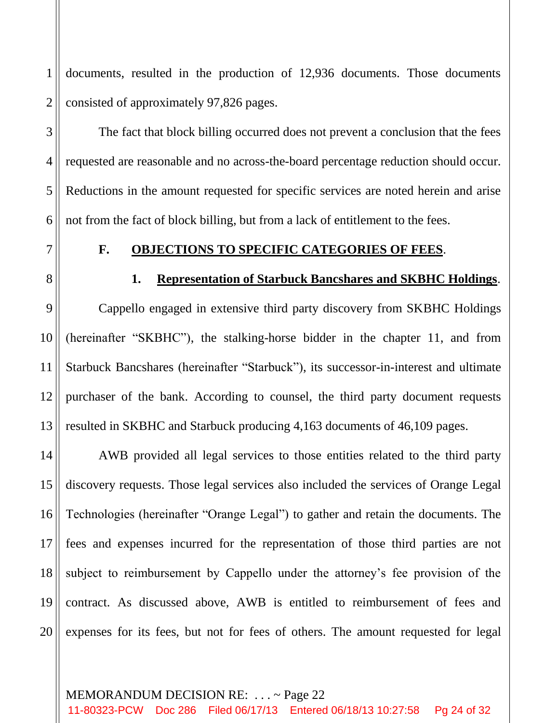1 2 documents, resulted in the production of 12,936 documents. Those documents consisted of approximately 97,826 pages.

The fact that block billing occurred does not prevent a conclusion that the fees requested are reasonable and no across-the-board percentage reduction should occur. Reductions in the amount requested for specific services are noted herein and arise not from the fact of block billing, but from a lack of entitlement to the fees.

7

3

4

5

6

## **F. OBJECTIONS TO SPECIFIC CATEGORIES OF FEES**.

8

9

10

11

12

13

## **1. Representation of Starbuck Bancshares and SKBHC Holdings**.

Cappello engaged in extensive third party discovery from SKBHC Holdings (hereinafter "SKBHC"), the stalking-horse bidder in the chapter 11, and from Starbuck Bancshares (hereinafter "Starbuck"), its successor-in-interest and ultimate purchaser of the bank. According to counsel, the third party document requests resulted in SKBHC and Starbuck producing 4,163 documents of 46,109 pages.

14 15 16 17 18 19 20 AWB provided all legal services to those entities related to the third party discovery requests. Those legal services also included the services of Orange Legal Technologies (hereinafter "Orange Legal") to gather and retain the documents. The fees and expenses incurred for the representation of those third parties are not subject to reimbursement by Cappello under the attorney's fee provision of the contract. As discussed above, AWB is entitled to reimbursement of fees and expenses for its fees, but not for fees of others. The amount requested for legal

## MEMORANDUM DECISION RE: . . . ~ Page 22

11-80323-PCW Doc 286 Filed 06/17/13 Entered 06/18/13 10:27:58 Pg 24 of 32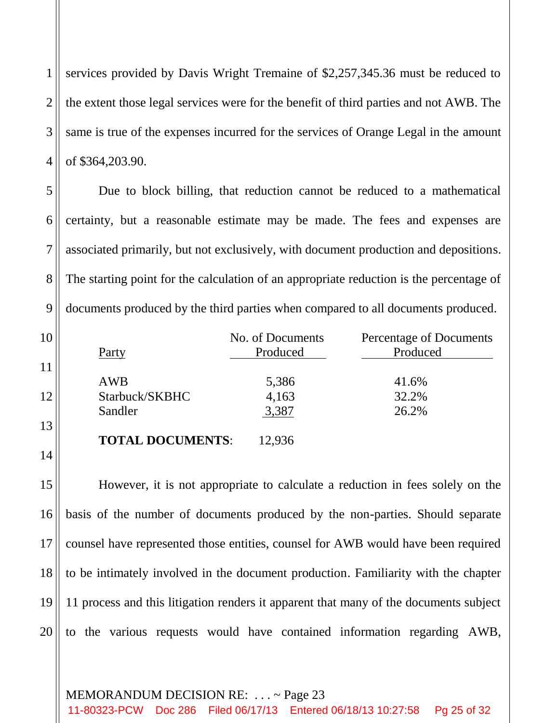1 2 3 4 services provided by Davis Wright Tremaine of \$2,257,345.36 must be reduced to the extent those legal services were for the benefit of third parties and not AWB. The same is true of the expenses incurred for the services of Orange Legal in the amount of \$364,203.90.

Due to block billing, that reduction cannot be reduced to a mathematical certainty, but a reasonable estimate may be made. The fees and expenses are associated primarily, but not exclusively, with document production and depositions. The starting point for the calculation of an appropriate reduction is the percentage of documents produced by the third parties when compared to all documents produced.

5

6

7

8

9

10

11

12

13

14

| Party                   | No. of Documents<br>Produced | Percentage of Documents<br>Produced |
|-------------------------|------------------------------|-------------------------------------|
| <b>AWB</b>              | 5,386                        | 41.6%                               |
| Starbuck/SKBHC          | 4,163                        | 32.2%                               |
| Sandler                 | 3,387                        | 26.2%                               |
| <b>TOTAL DOCUMENTS:</b> | 2.936                        |                                     |

15 16 17 18 19 20 However, it is not appropriate to calculate a reduction in fees solely on the basis of the number of documents produced by the non-parties. Should separate counsel have represented those entities, counsel for AWB would have been required to be intimately involved in the document production. Familiarity with the chapter 11 process and this litigation renders it apparent that many of the documents subject to the various requests would have contained information regarding AWB,

## MEMORANDUM DECISION RE: . . . ~ Page 23

11-80323-PCW Doc 286 Filed 06/17/13 Entered 06/18/13 10:27:58 Pg 25 of 32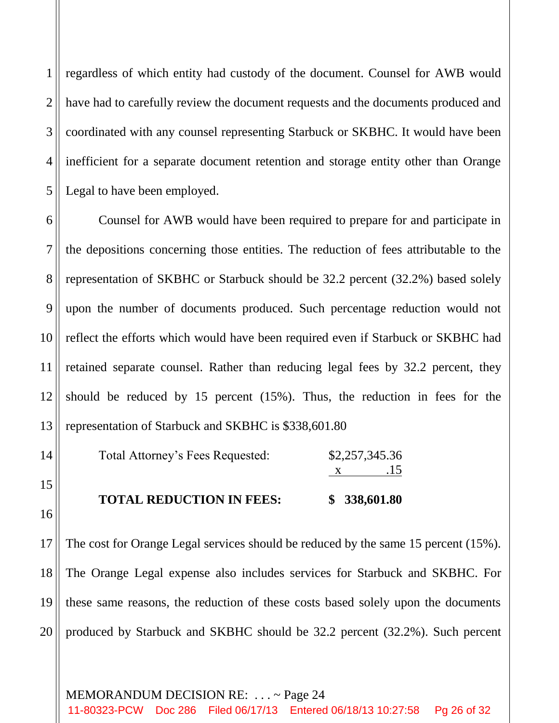1 2 3 4 5 regardless of which entity had custody of the document. Counsel for AWB would have had to carefully review the document requests and the documents produced and coordinated with any counsel representing Starbuck or SKBHC. It would have been inefficient for a separate document retention and storage entity other than Orange Legal to have been employed.

6 7 8 9 10 11 12 13 Counsel for AWB would have been required to prepare for and participate in the depositions concerning those entities. The reduction of fees attributable to the representation of SKBHC or Starbuck should be 32.2 percent (32.2%) based solely upon the number of documents produced. Such percentage reduction would not reflect the efforts which would have been required even if Starbuck or SKBHC had retained separate counsel. Rather than reducing legal fees by 32.2 percent, they should be reduced by 15 percent (15%). Thus, the reduction in fees for the representation of Starbuck and SKBHC is \$338,601.80

| <b>TOTAL REDUCTION IN FEES:</b>  |                | \$338,601.80 |
|----------------------------------|----------------|--------------|
|                                  |                | .15          |
| Total Attorney's Fees Requested: | \$2,257,345.36 |              |

16

15

14

17 18 19 20 The cost for Orange Legal services should be reduced by the same 15 percent (15%). The Orange Legal expense also includes services for Starbuck and SKBHC. For these same reasons, the reduction of these costs based solely upon the documents produced by Starbuck and SKBHC should be 32.2 percent (32.2%). Such percent

MEMORANDUM DECISION RE: . . . ~ Page 24 11-80323-PCW Doc 286 Filed 06/17/13 Entered 06/18/13 10:27:58 Pg 26 of 32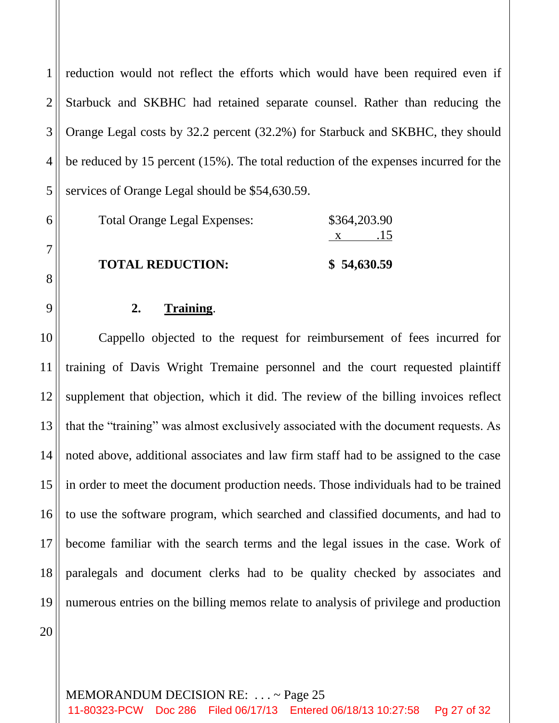1 2 3 4 5 reduction would not reflect the efforts which would have been required even if Starbuck and SKBHC had retained separate counsel. Rather than reducing the Orange Legal costs by 32.2 percent (32.2%) for Starbuck and SKBHC, they should be reduced by 15 percent (15%). The total reduction of the expenses incurred for the services of Orange Legal should be \$54,630.59.

| Total Orange Legal Expenses: | \$364,203.90           |  |
|------------------------------|------------------------|--|
|                              | .15                    |  |
| <b>MOULLE DEDITORIAL</b>     | $\phi$ FA $\sim$ TO FO |  |

**TOTAL REDUCTION: \$ 54,630.59**

# **2. Training**.

10 12 13 14 15 16 17 18 19 Cappello objected to the request for reimbursement of fees incurred for training of Davis Wright Tremaine personnel and the court requested plaintiff supplement that objection, which it did. The review of the billing invoices reflect that the "training" was almost exclusively associated with the document requests. As noted above, additional associates and law firm staff had to be assigned to the case in order to meet the document production needs. Those individuals had to be trained to use the software program, which searched and classified documents, and had to become familiar with the search terms and the legal issues in the case. Work of paralegals and document clerks had to be quality checked by associates and numerous entries on the billing memos relate to analysis of privilege and production

20

6

7

8

9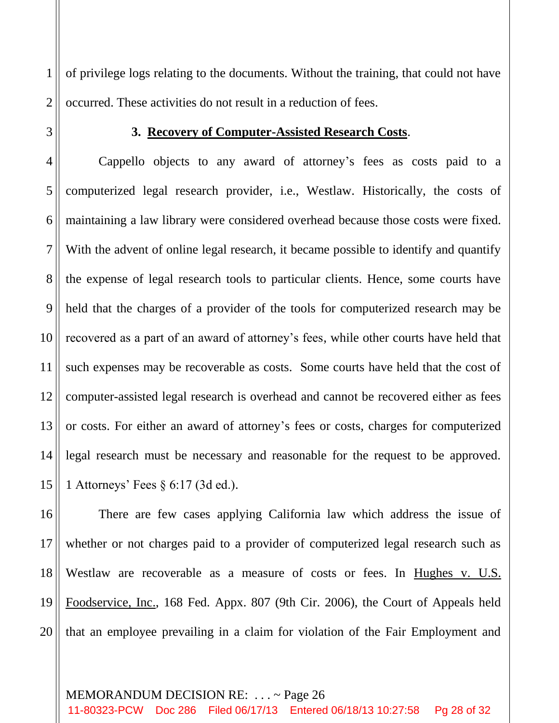1 2 of privilege logs relating to the documents. Without the training, that could not have occurred. These activities do not result in a reduction of fees.

## **3. Recovery of Computer-Assisted Research Costs**.

3

4 5 6 7 8 9 10 11 12 13 14 15 Cappello objects to any award of attorney's fees as costs paid to a computerized legal research provider, i.e., Westlaw. Historically, the costs of maintaining a law library were considered overhead because those costs were fixed. With the advent of online legal research, it became possible to identify and quantify the expense of legal research tools to particular clients. Hence, some courts have held that the charges of a provider of the tools for computerized research may be recovered as a part of an award of attorney's fees, while other courts have held that such expenses may be recoverable as costs. Some courts have held that the cost of computer-assisted legal research is overhead and cannot be recovered either as fees or costs. For either an award of attorney's fees or costs, charges for computerized legal research must be necessary and reasonable for the request to be approved. 1 Attorneys' Fees § 6:17 (3d ed.).

16 17 18 19 20 There are few cases applying California law which address the issue of whether or not charges paid to a provider of computerized legal research such as Westlaw are recoverable as a measure of costs or fees. In Hughes v. U.S. Foodservice, Inc., 168 Fed. Appx. 807 (9th Cir. 2006), the Court of Appeals held that an employee prevailing in a claim for violation of the Fair Employment and

#### MEMORANDUM DECISION RE: . . . ~ Page 26

11-80323-PCW Doc 286 Filed 06/17/13 Entered 06/18/13 10:27:58 Pg 28 of 32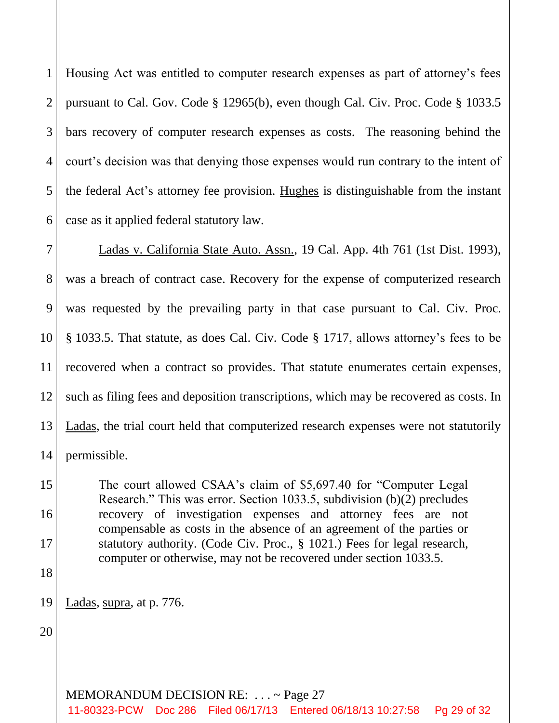1 2 3 4 5 6 Housing Act was entitled to computer research expenses as part of attorney's fees pursuant to Cal. Gov. Code § 12965(b), even though Cal. Civ. Proc. Code § 1033.5 bars recovery of computer research expenses as costs. The reasoning behind the court's decision was that denying those expenses would run contrary to the intent of the federal Act's attorney fee provision. Hughes is distinguishable from the instant case as it applied federal statutory law.

7 8 9 10 11 12 13 14 Ladas v. California State Auto. Assn., 19 Cal. App. 4th 761 (1st Dist. 1993), was a breach of contract case. Recovery for the expense of computerized research was requested by the prevailing party in that case pursuant to Cal. Civ. Proc. § 1033.5. That statute, as does Cal. Civ. Code § 1717, allows attorney's fees to be recovered when a contract so provides. That statute enumerates certain expenses, such as filing fees and deposition transcriptions, which may be recovered as costs. In Ladas, the trial court held that computerized research expenses were not statutorily permissible.

The court allowed CSAA's claim of \$5,697.40 for "Computer Legal Research." This was error. Section 1033.5, subdivision (b)(2) precludes recovery of investigation expenses and attorney fees are not compensable as costs in the absence of an agreement of the parties or statutory authority. (Code Civ. Proc., § 1021.) Fees for legal research, computer or otherwise, may not be recovered under section 1033.5.

19 Ladas, supra, at p. 776.

20

15

16

17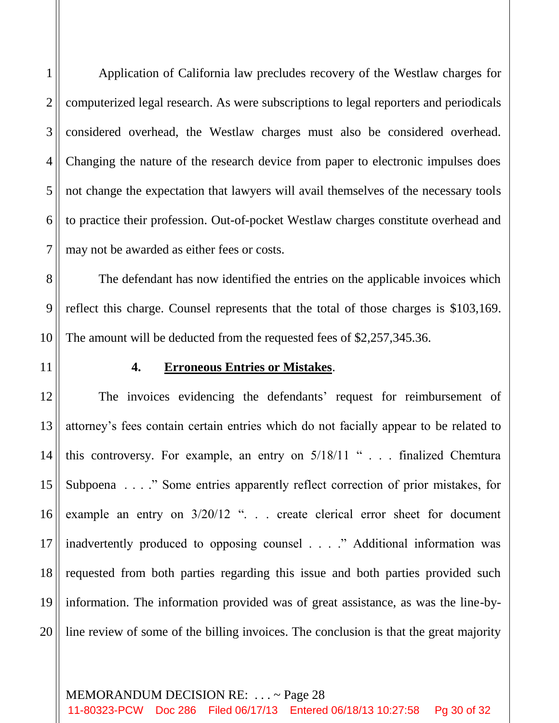2 3 4 5 6 7 computerized legal research. As were subscriptions to legal reporters and periodicals considered overhead, the Westlaw charges must also be considered overhead. Changing the nature of the research device from paper to electronic impulses does not change the expectation that lawyers will avail themselves of the necessary tools to practice their profession. Out-of-pocket Westlaw charges constitute overhead and may not be awarded as either fees or costs.

1

The defendant has now identified the entries on the applicable invoices which reflect this charge. Counsel represents that the total of those charges is \$103,169. The amount will be deducted from the requested fees of \$2,257,345.36.

Application of California law precludes recovery of the Westlaw charges for

11

10

8

9

## **4. Erroneous Entries or Mistakes**.

12 13 14 15 16 17 18 19 20 The invoices evidencing the defendants' request for reimbursement of attorney's fees contain certain entries which do not facially appear to be related to this controversy. For example, an entry on 5/18/11 " . . . finalized Chemtura Subpoena . . . ." Some entries apparently reflect correction of prior mistakes, for example an entry on  $3/20/12$  "... create clerical error sheet for document inadvertently produced to opposing counsel . . . ." Additional information was requested from both parties regarding this issue and both parties provided such information. The information provided was of great assistance, as was the line-byline review of some of the billing invoices. The conclusion is that the great majority

#### MEMORANDUM DECISION RE: . . . ~ Page 28

11-80323-PCW Doc 286 Filed 06/17/13 Entered 06/18/13 10:27:58 Pg 30 of 32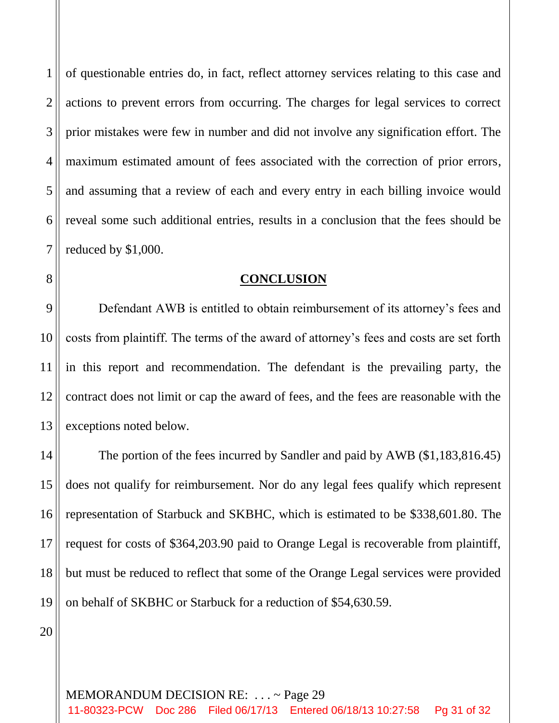1 2 3 4 5 6 7 of questionable entries do, in fact, reflect attorney services relating to this case and actions to prevent errors from occurring. The charges for legal services to correct prior mistakes were few in number and did not involve any signification effort. The maximum estimated amount of fees associated with the correction of prior errors, and assuming that a review of each and every entry in each billing invoice would reveal some such additional entries, results in a conclusion that the fees should be reduced by \$1,000.

#### **CONCLUSION**

9 10 11 12 13 Defendant AWB is entitled to obtain reimbursement of its attorney's fees and costs from plaintiff. The terms of the award of attorney's fees and costs are set forth in this report and recommendation. The defendant is the prevailing party, the contract does not limit or cap the award of fees, and the fees are reasonable with the exceptions noted below.

14 15 16 17 18 19 The portion of the fees incurred by Sandler and paid by AWB (\$1,183,816.45) does not qualify for reimbursement. Nor do any legal fees qualify which represent representation of Starbuck and SKBHC, which is estimated to be \$338,601.80. The request for costs of \$364,203.90 paid to Orange Legal is recoverable from plaintiff, but must be reduced to reflect that some of the Orange Legal services were provided on behalf of SKBHC or Starbuck for a reduction of \$54,630.59.

20